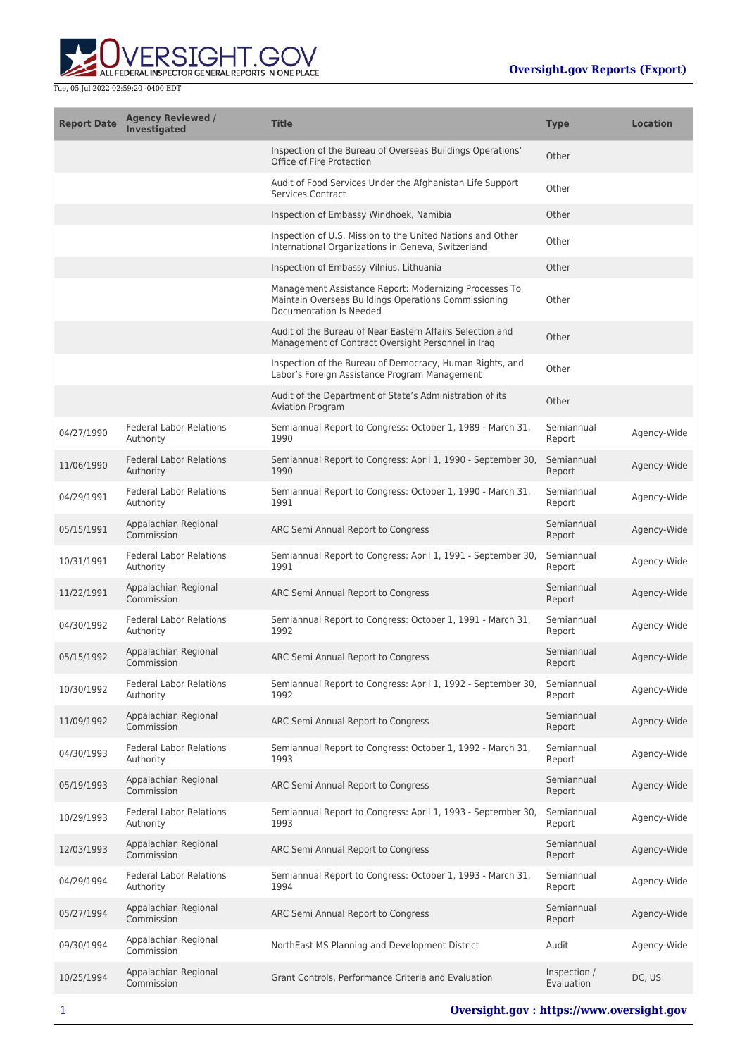

| <b>Report Date</b> | <b>Agency Reviewed /</b><br><b>Investigated</b> | <b>Title</b>                                                                                                                              | <b>Type</b>                | <b>Location</b> |
|--------------------|-------------------------------------------------|-------------------------------------------------------------------------------------------------------------------------------------------|----------------------------|-----------------|
|                    |                                                 | Inspection of the Bureau of Overseas Buildings Operations'<br>Office of Fire Protection                                                   | Other                      |                 |
|                    |                                                 | Audit of Food Services Under the Afghanistan Life Support<br><b>Services Contract</b>                                                     | Other                      |                 |
|                    |                                                 | Inspection of Embassy Windhoek, Namibia                                                                                                   | Other                      |                 |
|                    |                                                 | Inspection of U.S. Mission to the United Nations and Other<br>International Organizations in Geneva, Switzerland                          | Other                      |                 |
|                    |                                                 | Inspection of Embassy Vilnius, Lithuania                                                                                                  | Other                      |                 |
|                    |                                                 | Management Assistance Report: Modernizing Processes To<br>Maintain Overseas Buildings Operations Commissioning<br>Documentation Is Needed | Other                      |                 |
|                    |                                                 | Audit of the Bureau of Near Eastern Affairs Selection and<br>Management of Contract Oversight Personnel in Iraq                           | Other                      |                 |
|                    |                                                 | Inspection of the Bureau of Democracy, Human Rights, and<br>Labor's Foreign Assistance Program Management                                 | Other                      |                 |
|                    |                                                 | Audit of the Department of State's Administration of its<br><b>Aviation Program</b>                                                       | Other                      |                 |
| 04/27/1990         | <b>Federal Labor Relations</b><br>Authority     | Semiannual Report to Congress: October 1, 1989 - March 31,<br>1990                                                                        | Semiannual<br>Report       | Agency-Wide     |
| 11/06/1990         | <b>Federal Labor Relations</b><br>Authority     | Semiannual Report to Congress: April 1, 1990 - September 30,<br>1990                                                                      | Semiannual<br>Report       | Agency-Wide     |
| 04/29/1991         | <b>Federal Labor Relations</b><br>Authority     | Semiannual Report to Congress: October 1, 1990 - March 31,<br>1991                                                                        | Semiannual<br>Report       | Agency-Wide     |
| 05/15/1991         | Appalachian Regional<br>Commission              | ARC Semi Annual Report to Congress                                                                                                        | Semiannual<br>Report       | Agency-Wide     |
| 10/31/1991         | <b>Federal Labor Relations</b><br>Authority     | Semiannual Report to Congress: April 1, 1991 - September 30,<br>1991                                                                      | Semiannual<br>Report       | Agency-Wide     |
| 11/22/1991         | Appalachian Regional<br>Commission              | ARC Semi Annual Report to Congress                                                                                                        | Semiannual<br>Report       | Agency-Wide     |
| 04/30/1992         | <b>Federal Labor Relations</b><br>Authority     | Semiannual Report to Congress: October 1, 1991 - March 31,<br>1992                                                                        | Semiannual<br>Report       | Agency-Wide     |
| 05/15/1992         | Appalachian Regional<br>Commission              | ARC Semi Annual Report to Congress                                                                                                        | Semiannual<br>Report       | Agency-Wide     |
| 10/30/1992         | <b>Federal Labor Relations</b><br>Authority     | Semiannual Report to Congress: April 1, 1992 - September 30,<br>1992                                                                      | Semiannual<br>Report       | Agency-Wide     |
| 11/09/1992         | Appalachian Regional<br>Commission              | ARC Semi Annual Report to Congress                                                                                                        | Semiannual<br>Report       | Agency-Wide     |
| 04/30/1993         | <b>Federal Labor Relations</b><br>Authority     | Semiannual Report to Congress: October 1, 1992 - March 31,<br>1993                                                                        | Semiannual<br>Report       | Agency-Wide     |
| 05/19/1993         | Appalachian Regional<br>Commission              | ARC Semi Annual Report to Congress                                                                                                        | Semiannual<br>Report       | Agency-Wide     |
| 10/29/1993         | <b>Federal Labor Relations</b><br>Authority     | Semiannual Report to Congress: April 1, 1993 - September 30,<br>1993                                                                      | Semiannual<br>Report       | Agency-Wide     |
| 12/03/1993         | Appalachian Regional<br>Commission              | ARC Semi Annual Report to Congress                                                                                                        | Semiannual<br>Report       | Agency-Wide     |
| 04/29/1994         | <b>Federal Labor Relations</b><br>Authority     | Semiannual Report to Congress: October 1, 1993 - March 31,<br>1994                                                                        | Semiannual<br>Report       | Agency-Wide     |
| 05/27/1994         | Appalachian Regional<br>Commission              | ARC Semi Annual Report to Congress                                                                                                        | Semiannual<br>Report       | Agency-Wide     |
| 09/30/1994         | Appalachian Regional<br>Commission              | NorthEast MS Planning and Development District                                                                                            | Audit                      | Agency-Wide     |
| 10/25/1994         | Appalachian Regional<br>Commission              | Grant Controls, Performance Criteria and Evaluation                                                                                       | Inspection /<br>Evaluation | DC, US          |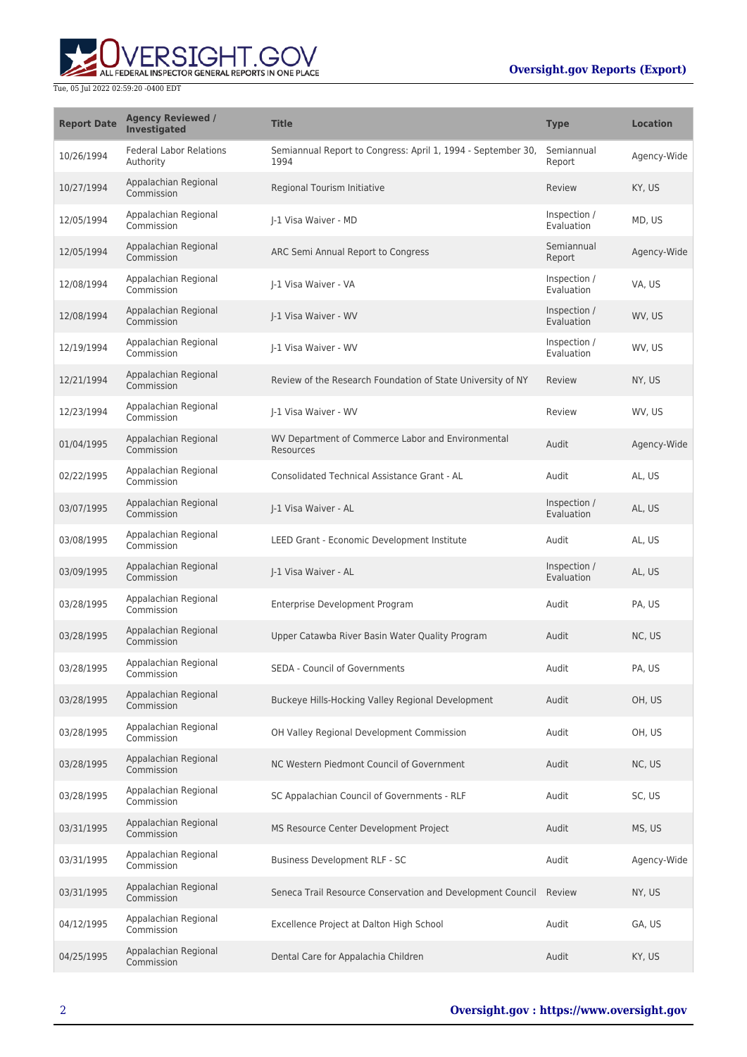# **Oversight.gov Reports (Export)**



| <b>Report Date</b> | <b>Agency Reviewed /</b><br><b>Investigated</b> | <b>Title</b>                                                         | <b>Type</b>                | <b>Location</b> |
|--------------------|-------------------------------------------------|----------------------------------------------------------------------|----------------------------|-----------------|
| 10/26/1994         | <b>Federal Labor Relations</b><br>Authority     | Semiannual Report to Congress: April 1, 1994 - September 30,<br>1994 | Semiannual<br>Report       | Agency-Wide     |
| 10/27/1994         | Appalachian Regional<br>Commission              | Regional Tourism Initiative                                          | Review                     | KY, US          |
| 12/05/1994         | Appalachian Regional<br>Commission              | J-1 Visa Waiver - MD                                                 | Inspection /<br>Evaluation | MD, US          |
| 12/05/1994         | Appalachian Regional<br>Commission              | ARC Semi Annual Report to Congress                                   | Semiannual<br>Report       | Agency-Wide     |
| 12/08/1994         | Appalachian Regional<br>Commission              | J-1 Visa Waiver - VA                                                 | Inspection /<br>Evaluation | VA, US          |
| 12/08/1994         | Appalachian Regional<br>Commission              | J-1 Visa Waiver - WV                                                 | Inspection /<br>Evaluation | WV, US          |
| 12/19/1994         | Appalachian Regional<br>Commission              | J-1 Visa Waiver - WV                                                 | Inspection /<br>Evaluation | WV, US          |
| 12/21/1994         | Appalachian Regional<br>Commission              | Review of the Research Foundation of State University of NY          | Review                     | NY, US          |
| 12/23/1994         | Appalachian Regional<br>Commission              | J-1 Visa Waiver - WV                                                 | Review                     | WV, US          |
| 01/04/1995         | Appalachian Regional<br>Commission              | WV Department of Commerce Labor and Environmental<br>Resources       | Audit                      | Agency-Wide     |
| 02/22/1995         | Appalachian Regional<br>Commission              | Consolidated Technical Assistance Grant - AL                         | Audit                      | AL, US          |
| 03/07/1995         | Appalachian Regional<br>Commission              | J-1 Visa Waiver - AL                                                 | Inspection /<br>Evaluation | AL, US          |
| 03/08/1995         | Appalachian Regional<br>Commission              | LEED Grant - Economic Development Institute                          | Audit                      | AL, US          |
| 03/09/1995         | Appalachian Regional<br>Commission              | J-1 Visa Waiver - AL                                                 | Inspection /<br>Evaluation | AL, US          |
| 03/28/1995         | Appalachian Regional<br>Commission              | Enterprise Development Program                                       | Audit                      | PA, US          |
| 03/28/1995         | Appalachian Regional<br>Commission              | Upper Catawba River Basin Water Quality Program                      | Audit                      | NC, US          |
| 03/28/1995         | Appalachian Regional<br>Commission              | <b>SEDA - Council of Governments</b>                                 | Audit                      | PA, US          |
| 03/28/1995         | Appalachian Regional<br>Commission              | Buckeye Hills-Hocking Valley Regional Development                    | Audit                      | OH, US          |
| 03/28/1995         | Appalachian Regional<br>Commission              | OH Valley Regional Development Commission                            | Audit                      | OH, US          |
| 03/28/1995         | Appalachian Regional<br>Commission              | NC Western Piedmont Council of Government                            | Audit                      | NC, US          |
| 03/28/1995         | Appalachian Regional<br>Commission              | SC Appalachian Council of Governments - RLF                          | Audit                      | SC, US          |
| 03/31/1995         | Appalachian Regional<br>Commission              | MS Resource Center Development Project                               | Audit                      | MS, US          |
| 03/31/1995         | Appalachian Regional<br>Commission              | Business Development RLF - SC                                        | Audit                      | Agency-Wide     |
| 03/31/1995         | Appalachian Regional<br>Commission              | Seneca Trail Resource Conservation and Development Council Review    |                            | NY, US          |
| 04/12/1995         | Appalachian Regional<br>Commission              | Excellence Project at Dalton High School                             | Audit                      | GA, US          |
| 04/25/1995         | Appalachian Regional<br>Commission              | Dental Care for Appalachia Children                                  | Audit                      | KY, US          |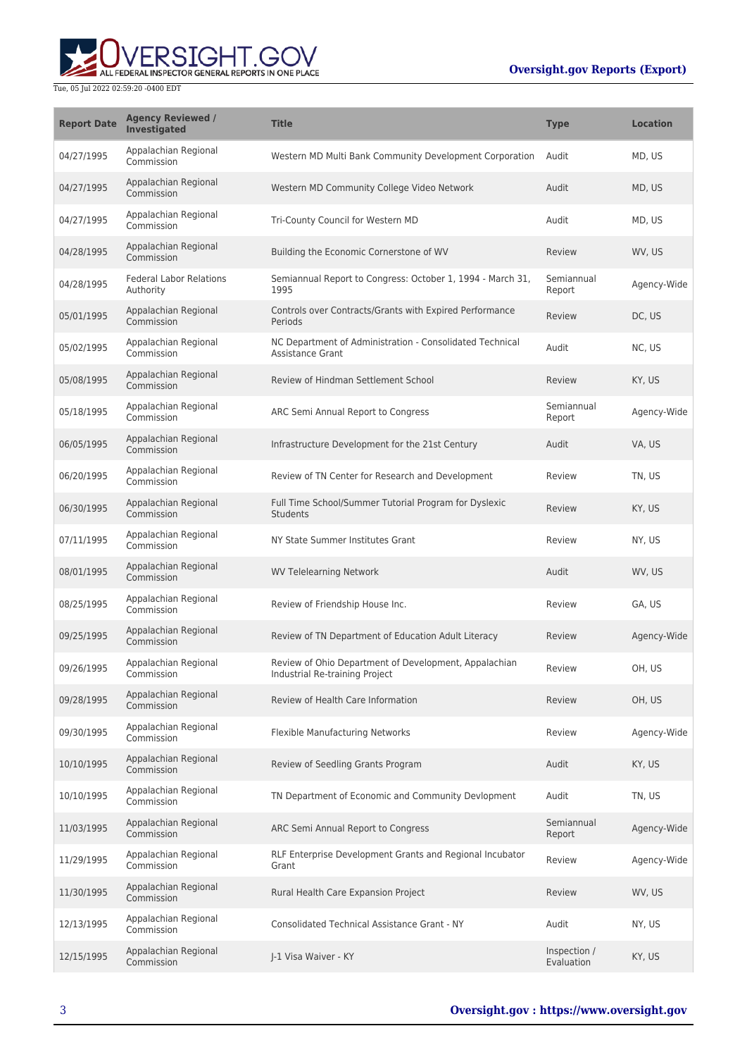# **Oversight.gov Reports (Export)**



| <b>Report Date</b> | <b>Agency Reviewed /</b><br><b>Investigated</b> | <b>Title</b>                                                                            | <b>Type</b>                | <b>Location</b> |
|--------------------|-------------------------------------------------|-----------------------------------------------------------------------------------------|----------------------------|-----------------|
| 04/27/1995         | Appalachian Regional<br>Commission              | Western MD Multi Bank Community Development Corporation                                 | Audit                      | MD, US          |
| 04/27/1995         | Appalachian Regional<br>Commission              | Western MD Community College Video Network                                              | Audit                      | MD, US          |
| 04/27/1995         | Appalachian Regional<br>Commission              | Tri-County Council for Western MD                                                       | Audit                      | MD, US          |
| 04/28/1995         | Appalachian Regional<br>Commission              | Building the Economic Cornerstone of WV                                                 | Review                     | WV, US          |
| 04/28/1995         | <b>Federal Labor Relations</b><br>Authority     | Semiannual Report to Congress: October 1, 1994 - March 31,<br>1995                      | Semiannual<br>Report       | Agency-Wide     |
| 05/01/1995         | Appalachian Regional<br>Commission              | Controls over Contracts/Grants with Expired Performance<br>Periods                      | Review                     | DC, US          |
| 05/02/1995         | Appalachian Regional<br>Commission              | NC Department of Administration - Consolidated Technical<br>Assistance Grant            | Audit                      | NC, US          |
| 05/08/1995         | Appalachian Regional<br>Commission              | Review of Hindman Settlement School                                                     | Review                     | KY, US          |
| 05/18/1995         | Appalachian Regional<br>Commission              | ARC Semi Annual Report to Congress                                                      | Semiannual<br>Report       | Agency-Wide     |
| 06/05/1995         | Appalachian Regional<br>Commission              | Infrastructure Development for the 21st Century                                         | Audit                      | VA, US          |
| 06/20/1995         | Appalachian Regional<br>Commission              | Review of TN Center for Research and Development                                        | Review                     | TN, US          |
| 06/30/1995         | Appalachian Regional<br>Commission              | Full Time School/Summer Tutorial Program for Dyslexic<br><b>Students</b>                | Review                     | KY, US          |
| 07/11/1995         | Appalachian Regional<br>Commission              | NY State Summer Institutes Grant                                                        | Review                     | NY, US          |
| 08/01/1995         | Appalachian Regional<br>Commission              | <b>WV Telelearning Network</b>                                                          | Audit                      | WV, US          |
| 08/25/1995         | Appalachian Regional<br>Commission              | Review of Friendship House Inc.                                                         | Review                     | GA, US          |
| 09/25/1995         | Appalachian Regional<br>Commission              | Review of TN Department of Education Adult Literacy                                     | Review                     | Agency-Wide     |
| 09/26/1995         | Appalachian Regional<br>Commission              | Review of Ohio Department of Development, Appalachian<br>Industrial Re-training Project | Review                     | OH, US          |
| 09/28/1995         | Appalachian Regional<br>Commission              | Review of Health Care Information                                                       | Review                     | OH, US          |
| 09/30/1995         | Appalachian Regional<br>Commission              | Flexible Manufacturing Networks                                                         | Review                     | Agency-Wide     |
| 10/10/1995         | Appalachian Regional<br>Commission              | Review of Seedling Grants Program                                                       | Audit                      | KY, US          |
| 10/10/1995         | Appalachian Regional<br>Commission              | TN Department of Economic and Community Devlopment                                      | Audit                      | TN, US          |
| 11/03/1995         | Appalachian Regional<br>Commission              | ARC Semi Annual Report to Congress                                                      | Semiannual<br>Report       | Agency-Wide     |
| 11/29/1995         | Appalachian Regional<br>Commission              | RLF Enterprise Development Grants and Regional Incubator<br>Grant                       | Review                     | Agency-Wide     |
| 11/30/1995         | Appalachian Regional<br>Commission              | Rural Health Care Expansion Project                                                     | Review                     | WV, US          |
| 12/13/1995         | Appalachian Regional<br>Commission              | <b>Consolidated Technical Assistance Grant - NY</b>                                     | Audit                      | NY, US          |
| 12/15/1995         | Appalachian Regional<br>Commission              | J-1 Visa Waiver - KY                                                                    | Inspection /<br>Evaluation | KY, US          |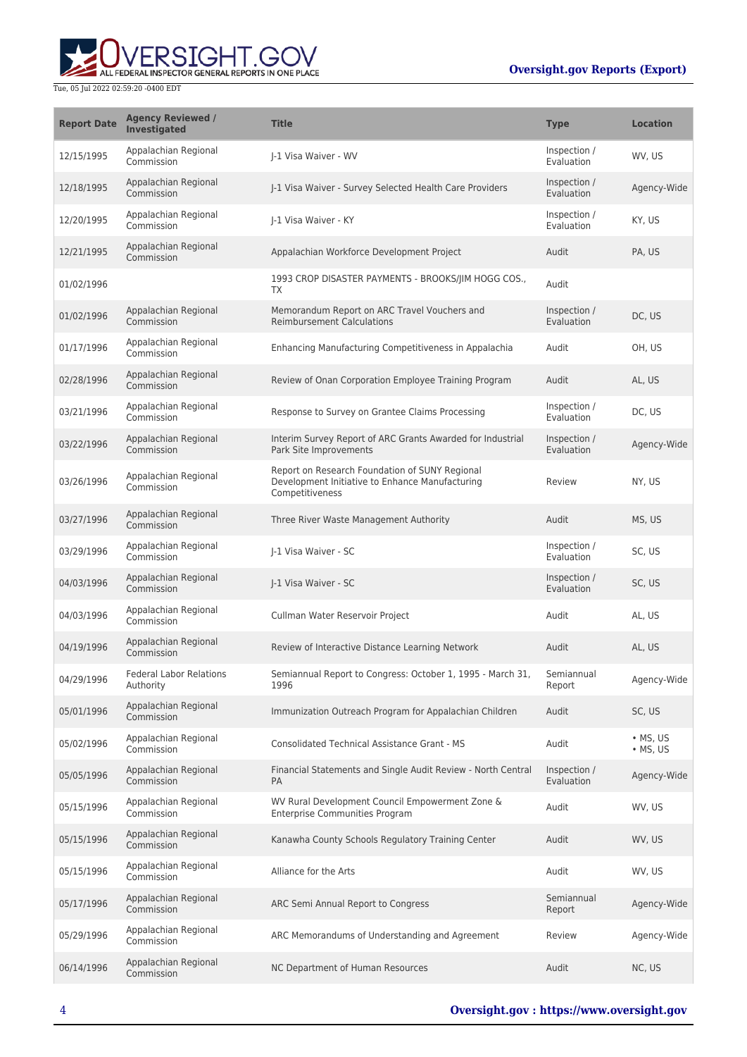

| <b>Report Date</b> | <b>Agency Reviewed /</b><br><b>Investigated</b> | <b>Title</b>                                                                                                         | <b>Type</b>                       | <b>Location</b>              |
|--------------------|-------------------------------------------------|----------------------------------------------------------------------------------------------------------------------|-----------------------------------|------------------------------|
| 12/15/1995         | Appalachian Regional<br>Commission              | I-1 Visa Waiver - WV                                                                                                 | Inspection /<br>Evaluation        | WV, US                       |
| 12/18/1995         | Appalachian Regional<br>Commission              | J-1 Visa Waiver - Survey Selected Health Care Providers                                                              | Inspection /<br>Evaluation        | Agency-Wide                  |
| 12/20/1995         | Appalachian Regional<br>Commission              | I-1 Visa Waiver - KY                                                                                                 | Inspection /<br>Evaluation        | KY, US                       |
| 12/21/1995         | Appalachian Regional<br>Commission              | Appalachian Workforce Development Project                                                                            | Audit                             | PA, US                       |
| 01/02/1996         |                                                 | 1993 CROP DISASTER PAYMENTS - BROOKS/JIM HOGG COS.,<br>TX                                                            | Audit                             |                              |
| 01/02/1996         | Appalachian Regional<br>Commission              | Memorandum Report on ARC Travel Vouchers and<br><b>Reimbursement Calculations</b>                                    | Inspection /<br>Evaluation        | DC, US                       |
| 01/17/1996         | Appalachian Regional<br>Commission              | Enhancing Manufacturing Competitiveness in Appalachia                                                                | Audit                             | OH, US                       |
| 02/28/1996         | Appalachian Regional<br>Commission              | Review of Onan Corporation Employee Training Program                                                                 | Audit                             | AL, US                       |
| 03/21/1996         | Appalachian Regional<br>Commission              | Response to Survey on Grantee Claims Processing                                                                      | Inspection /<br>Evaluation        | DC, US                       |
| 03/22/1996         | Appalachian Regional<br>Commission              | Interim Survey Report of ARC Grants Awarded for Industrial<br>Park Site Improvements                                 | Inspection /<br><b>Evaluation</b> | Agency-Wide                  |
| 03/26/1996         | Appalachian Regional<br>Commission              | Report on Research Foundation of SUNY Regional<br>Development Initiative to Enhance Manufacturing<br>Competitiveness | Review                            | NY, US                       |
| 03/27/1996         | Appalachian Regional<br>Commission              | Three River Waste Management Authority                                                                               | Audit                             | MS, US                       |
| 03/29/1996         | Appalachian Regional<br>Commission              | I-1 Visa Waiver - SC                                                                                                 | Inspection /<br>Evaluation        | SC, US                       |
| 04/03/1996         | Appalachian Regional<br>Commission              | J-1 Visa Waiver - SC                                                                                                 | Inspection /<br>Evaluation        | SC, US                       |
| 04/03/1996         | Appalachian Regional<br>Commission              | Cullman Water Reservoir Project                                                                                      | Audit                             | AL, US                       |
| 04/19/1996         | Appalachian Regional<br>Commission              | Review of Interactive Distance Learning Network                                                                      | Audit                             | AL, US                       |
| 04/29/1996         | <b>Federal Labor Relations</b><br>Authority     | Semiannual Report to Congress: October 1, 1995 - March 31,<br>1996                                                   | Semiannual<br>Report              | Agency-Wide                  |
| 05/01/1996         | Appalachian Regional<br>Commission              | Immunization Outreach Program for Appalachian Children                                                               | Audit                             | SC, US                       |
| 05/02/1996         | Appalachian Regional<br>Commission              | <b>Consolidated Technical Assistance Grant - MS</b>                                                                  | Audit                             | • MS, US<br>$\bullet$ MS, US |
| 05/05/1996         | Appalachian Regional<br>Commission              | Financial Statements and Single Audit Review - North Central<br><b>PA</b>                                            | Inspection /<br>Evaluation        | Agency-Wide                  |
| 05/15/1996         | Appalachian Regional<br>Commission              | WV Rural Development Council Empowerment Zone &<br><b>Enterprise Communities Program</b>                             | Audit                             | WV, US                       |
| 05/15/1996         | Appalachian Regional<br>Commission              | Kanawha County Schools Regulatory Training Center                                                                    | Audit                             | WV, US                       |
| 05/15/1996         | Appalachian Regional<br>Commission              | Alliance for the Arts                                                                                                | Audit                             | WV, US                       |
| 05/17/1996         | Appalachian Regional<br>Commission              | ARC Semi Annual Report to Congress                                                                                   | Semiannual<br>Report              | Agency-Wide                  |
| 05/29/1996         | Appalachian Regional<br>Commission              | ARC Memorandums of Understanding and Agreement                                                                       | Review                            | Agency-Wide                  |
| 06/14/1996         | Appalachian Regional<br>Commission              | NC Department of Human Resources                                                                                     | Audit                             | NC, US                       |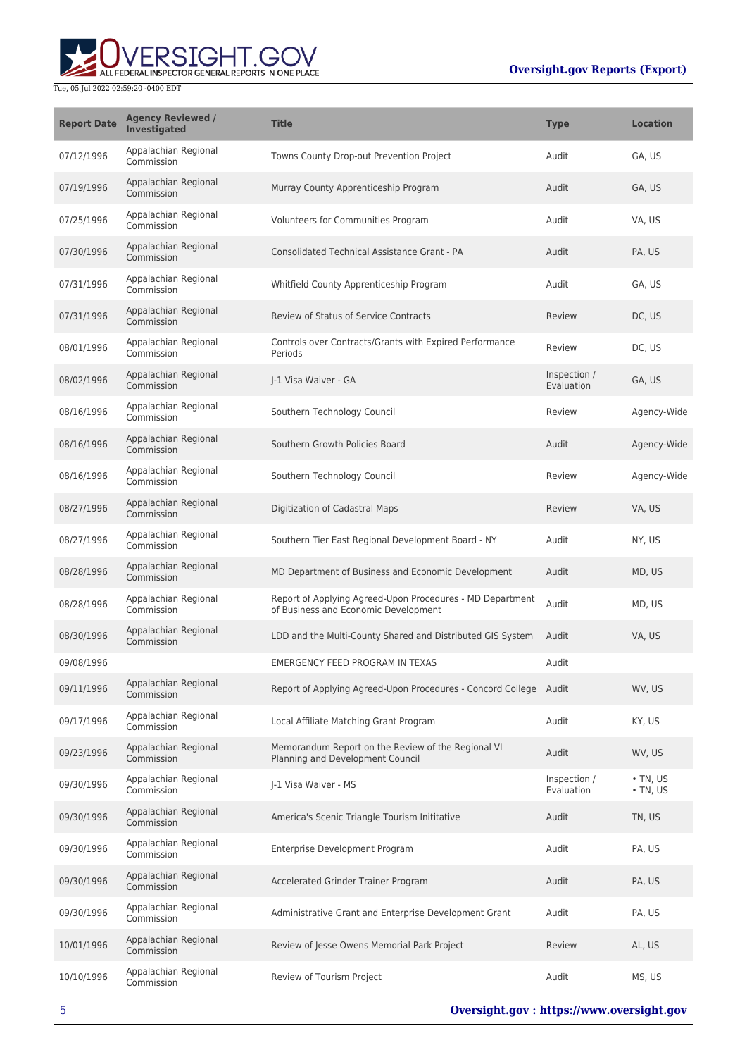

| <b>Report Date</b> | <b>Agency Reviewed /</b><br>Investigated | <b>Title</b>                                                                                      | <b>Type</b>                | <b>Location</b>                  |
|--------------------|------------------------------------------|---------------------------------------------------------------------------------------------------|----------------------------|----------------------------------|
| 07/12/1996         | Appalachian Regional<br>Commission       | Towns County Drop-out Prevention Project                                                          | Audit                      | GA, US                           |
| 07/19/1996         | Appalachian Regional<br>Commission       | Murray County Apprenticeship Program                                                              | Audit                      | GA, US                           |
| 07/25/1996         | Appalachian Regional<br>Commission       | Volunteers for Communities Program                                                                | Audit                      | VA, US                           |
| 07/30/1996         | Appalachian Regional<br>Commission       | Consolidated Technical Assistance Grant - PA                                                      | Audit                      | PA, US                           |
| 07/31/1996         | Appalachian Regional<br>Commission       | Whitfield County Apprenticeship Program                                                           | Audit                      | GA, US                           |
| 07/31/1996         | Appalachian Regional<br>Commission       | Review of Status of Service Contracts                                                             | Review                     | DC, US                           |
| 08/01/1996         | Appalachian Regional<br>Commission       | Controls over Contracts/Grants with Expired Performance<br>Periods                                | Review                     | DC, US                           |
| 08/02/1996         | Appalachian Regional<br>Commission       | I-1 Visa Waiver - GA                                                                              | Inspection /<br>Evaluation | GA, US                           |
| 08/16/1996         | Appalachian Regional<br>Commission       | Southern Technology Council                                                                       | Review                     | Agency-Wide                      |
| 08/16/1996         | Appalachian Regional<br>Commission       | Southern Growth Policies Board                                                                    | Audit                      | Agency-Wide                      |
| 08/16/1996         | Appalachian Regional<br>Commission       | Southern Technology Council                                                                       | Review                     | Agency-Wide                      |
| 08/27/1996         | Appalachian Regional<br>Commission       | Digitization of Cadastral Maps                                                                    | Review                     | VA, US                           |
| 08/27/1996         | Appalachian Regional<br>Commission       | Southern Tier East Regional Development Board - NY                                                | Audit                      | NY, US                           |
| 08/28/1996         | Appalachian Regional<br>Commission       | MD Department of Business and Economic Development                                                | Audit                      | MD, US                           |
| 08/28/1996         | Appalachian Regional<br>Commission       | Report of Applying Agreed-Upon Procedures - MD Department<br>of Business and Economic Development | Audit                      | MD, US                           |
| 08/30/1996         | Appalachian Regional<br>Commission       | LDD and the Multi-County Shared and Distributed GIS System                                        | Audit                      | VA, US                           |
| 09/08/1996         |                                          | <b>EMERGENCY FEED PROGRAM IN TEXAS</b>                                                            | Audit                      |                                  |
| 09/11/1996         | Appalachian Regional<br>Commission       | Report of Applying Agreed-Upon Procedures - Concord College Audit                                 |                            | WV, US                           |
| 09/17/1996         | Appalachian Regional<br>Commission       | Local Affiliate Matching Grant Program                                                            | Audit                      | KY, US                           |
| 09/23/1996         | Appalachian Regional<br>Commission       | Memorandum Report on the Review of the Regional VI<br>Planning and Development Council            | Audit                      | WV, US                           |
| 09/30/1996         | Appalachian Regional<br>Commission       | J-1 Visa Waiver - MS                                                                              | Inspection /<br>Evaluation | $\cdot$ TN, US<br>$\cdot$ TN, US |
| 09/30/1996         | Appalachian Regional<br>Commission       | America's Scenic Triangle Tourism Inititative                                                     | Audit                      | TN, US                           |
| 09/30/1996         | Appalachian Regional<br>Commission       | Enterprise Development Program                                                                    | Audit                      | PA, US                           |
| 09/30/1996         | Appalachian Regional<br>Commission       | Accelerated Grinder Trainer Program                                                               | Audit                      | PA, US                           |
| 09/30/1996         | Appalachian Regional<br>Commission       | Administrative Grant and Enterprise Development Grant                                             | Audit                      | PA, US                           |
| 10/01/1996         | Appalachian Regional<br>Commission       | Review of Jesse Owens Memorial Park Project                                                       | Review                     | AL, US                           |
| 10/10/1996         | Appalachian Regional<br>Commission       | Review of Tourism Project                                                                         | Audit                      | MS, US                           |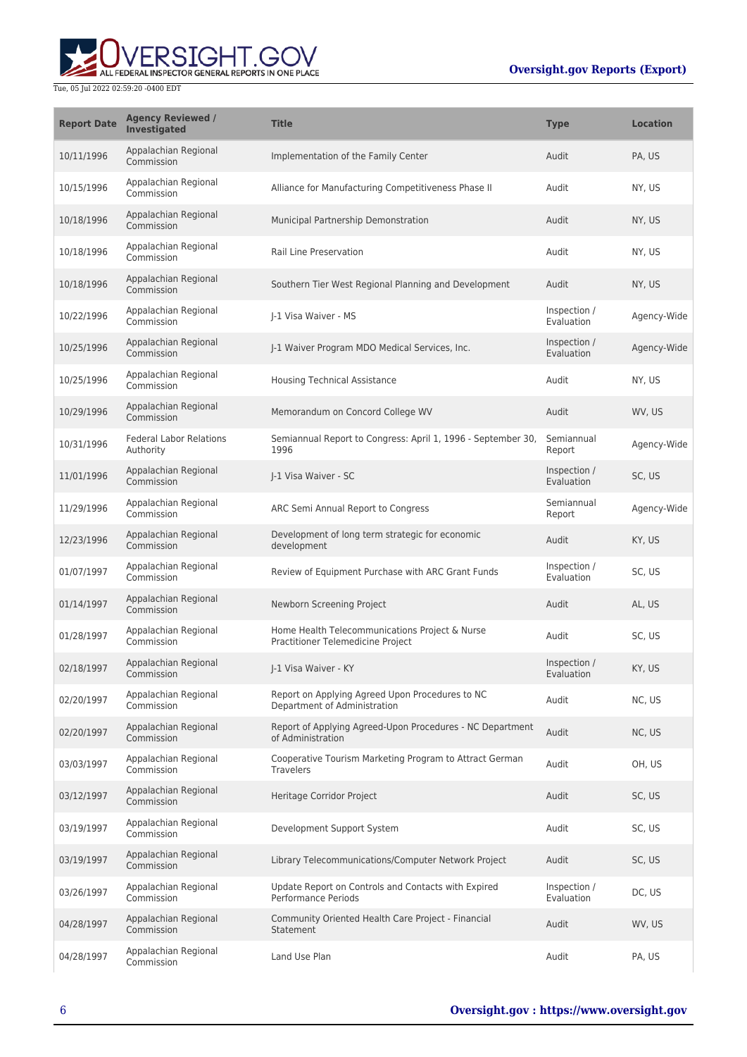

| <b>Report Date</b> | <b>Agency Reviewed /</b><br><b>Investigated</b> | <b>Title</b>                                                                        | <b>Type</b>                | <b>Location</b> |
|--------------------|-------------------------------------------------|-------------------------------------------------------------------------------------|----------------------------|-----------------|
| 10/11/1996         | Appalachian Regional<br>Commission              | Implementation of the Family Center                                                 | Audit                      | PA, US          |
| 10/15/1996         | Appalachian Regional<br>Commission              | Alliance for Manufacturing Competitiveness Phase II                                 | Audit                      | NY, US          |
| 10/18/1996         | Appalachian Regional<br>Commission              | Municipal Partnership Demonstration                                                 | Audit                      | NY, US          |
| 10/18/1996         | Appalachian Regional<br>Commission              | Rail Line Preservation                                                              | Audit                      | NY, US          |
| 10/18/1996         | Appalachian Regional<br>Commission              | Southern Tier West Regional Planning and Development                                | Audit                      | NY, US          |
| 10/22/1996         | Appalachian Regional<br>Commission              | J-1 Visa Waiver - MS                                                                | Inspection /<br>Evaluation | Agency-Wide     |
| 10/25/1996         | Appalachian Regional<br>Commission              | J-1 Waiver Program MDO Medical Services, Inc.                                       | Inspection /<br>Evaluation | Agency-Wide     |
| 10/25/1996         | Appalachian Regional<br>Commission              | <b>Housing Technical Assistance</b>                                                 | Audit                      | NY, US          |
| 10/29/1996         | Appalachian Regional<br>Commission              | Memorandum on Concord College WV                                                    | Audit                      | WV, US          |
| 10/31/1996         | <b>Federal Labor Relations</b><br>Authority     | Semiannual Report to Congress: April 1, 1996 - September 30,<br>1996                | Semiannual<br>Report       | Agency-Wide     |
| 11/01/1996         | Appalachian Regional<br>Commission              | J-1 Visa Waiver - SC                                                                | Inspection /<br>Evaluation | SC, US          |
| 11/29/1996         | Appalachian Regional<br>Commission              | ARC Semi Annual Report to Congress                                                  | Semiannual<br>Report       | Agency-Wide     |
| 12/23/1996         | Appalachian Regional<br>Commission              | Development of long term strategic for economic<br>development                      | Audit                      | KY, US          |
| 01/07/1997         | Appalachian Regional<br>Commission              | Review of Equipment Purchase with ARC Grant Funds                                   | Inspection /<br>Evaluation | SC, US          |
| 01/14/1997         | Appalachian Regional<br>Commission              | Newborn Screening Project                                                           | Audit                      | AL, US          |
| 01/28/1997         | Appalachian Regional<br>Commission              | Home Health Telecommunications Project & Nurse<br>Practitioner Telemedicine Project | Audit                      | SC, US          |
| 02/18/1997         | Appalachian Regional<br>Commission              | J-1 Visa Waiver - KY                                                                | Inspection /<br>Evaluation | KY, US          |
| 02/20/1997         | Appalachian Regional<br>Commission              | Report on Applying Agreed Upon Procedures to NC<br>Department of Administration     | Audit                      | NC, US          |
| 02/20/1997         | Appalachian Regional<br>Commission              | Report of Applying Agreed-Upon Procedures - NC Department<br>of Administration      | Audit                      | NC, US          |
| 03/03/1997         | Appalachian Regional<br>Commission              | Cooperative Tourism Marketing Program to Attract German<br><b>Travelers</b>         | Audit                      | OH, US          |
| 03/12/1997         | Appalachian Regional<br>Commission              | Heritage Corridor Project                                                           | Audit                      | SC, US          |
| 03/19/1997         | Appalachian Regional<br>Commission              | Development Support System                                                          | Audit                      | SC, US          |
| 03/19/1997         | Appalachian Regional<br>Commission              | Library Telecommunications/Computer Network Project                                 | Audit                      | SC, US          |
| 03/26/1997         | Appalachian Regional<br>Commission              | Update Report on Controls and Contacts with Expired<br><b>Performance Periods</b>   | Inspection /<br>Evaluation | DC, US          |
| 04/28/1997         | Appalachian Regional<br>Commission              | Community Oriented Health Care Project - Financial<br>Statement                     | Audit                      | WV, US          |
| 04/28/1997         | Appalachian Regional<br>Commission              | Land Use Plan                                                                       | Audit                      | PA, US          |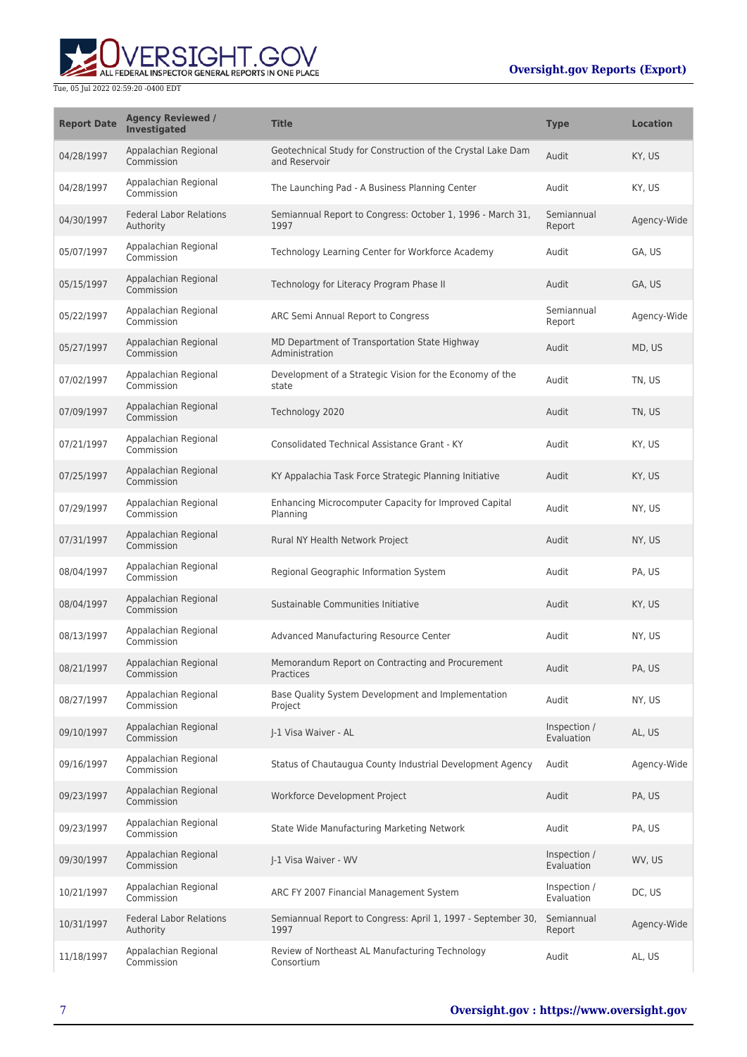# ALL FEDERAL INSPECTOR GENERAL REPORTS IN ONE PLACE Tue, 05 Jul 2022 02:59:20 -0400 EDT

| <b>Report Date</b> | <b>Agency Reviewed /</b><br><b>Investigated</b> | <b>Title</b>                                                                 | <b>Type</b>                | <b>Location</b> |
|--------------------|-------------------------------------------------|------------------------------------------------------------------------------|----------------------------|-----------------|
| 04/28/1997         | Appalachian Regional<br>Commission              | Geotechnical Study for Construction of the Crystal Lake Dam<br>and Reservoir | Audit                      | KY, US          |
| 04/28/1997         | Appalachian Regional<br>Commission              | The Launching Pad - A Business Planning Center                               | Audit                      | KY, US          |
| 04/30/1997         | <b>Federal Labor Relations</b><br>Authority     | Semiannual Report to Congress: October 1, 1996 - March 31,<br>1997           | Semiannual<br>Report       | Agency-Wide     |
| 05/07/1997         | Appalachian Regional<br>Commission              | Technology Learning Center for Workforce Academy                             | Audit                      | GA, US          |
| 05/15/1997         | Appalachian Regional<br>Commission              | Technology for Literacy Program Phase II                                     | Audit                      | GA, US          |
| 05/22/1997         | Appalachian Regional<br>Commission              | ARC Semi Annual Report to Congress                                           | Semiannual<br>Report       | Agency-Wide     |
| 05/27/1997         | Appalachian Regional<br>Commission              | MD Department of Transportation State Highway<br>Administration              | Audit                      | MD, US          |
| 07/02/1997         | Appalachian Regional<br>Commission              | Development of a Strategic Vision for the Economy of the<br>state            | Audit                      | TN, US          |
| 07/09/1997         | Appalachian Regional<br>Commission              | Technology 2020                                                              | Audit                      | TN, US          |
| 07/21/1997         | Appalachian Regional<br>Commission              | <b>Consolidated Technical Assistance Grant - KY</b>                          | Audit                      | KY, US          |
| 07/25/1997         | Appalachian Regional<br>Commission              | KY Appalachia Task Force Strategic Planning Initiative                       | Audit                      | KY, US          |
| 07/29/1997         | Appalachian Regional<br>Commission              | Enhancing Microcomputer Capacity for Improved Capital<br>Planning            | Audit                      | NY, US          |
| 07/31/1997         | Appalachian Regional<br>Commission              | Rural NY Health Network Project                                              | Audit                      | NY, US          |
| 08/04/1997         | Appalachian Regional<br>Commission              | Regional Geographic Information System                                       | Audit                      | PA, US          |
| 08/04/1997         | Appalachian Regional<br>Commission              | Sustainable Communities Initiative                                           | Audit                      | KY, US          |
| 08/13/1997         | Appalachian Regional<br>Commission              | Advanced Manufacturing Resource Center                                       | Audit                      | NY, US          |
| 08/21/1997         | Appalachian Regional<br>Commission              | Memorandum Report on Contracting and Procurement<br>Practices                | Audit                      | PA, US          |
| 08/27/1997         | Appalachian Regional<br>Commission              | Base Quality System Development and Implementation<br>Project                | Audit                      | NY, US          |
| 09/10/1997         | Appalachian Regional<br>Commission              | I-1 Visa Waiver - AL                                                         | Inspection /<br>Evaluation | AL, US          |
| 09/16/1997         | Appalachian Regional<br>Commission              | Status of Chautaugua County Industrial Development Agency                    | Audit                      | Agency-Wide     |
| 09/23/1997         | Appalachian Regional<br>Commission              | Workforce Development Project                                                | Audit                      | PA, US          |
| 09/23/1997         | Appalachian Regional<br>Commission              | State Wide Manufacturing Marketing Network                                   | Audit                      | PA, US          |
| 09/30/1997         | Appalachian Regional<br>Commission              | J-1 Visa Waiver - WV                                                         | Inspection /<br>Evaluation | WV, US          |
| 10/21/1997         | Appalachian Regional<br>Commission              | ARC FY 2007 Financial Management System                                      | Inspection /<br>Evaluation | DC, US          |
| 10/31/1997         | <b>Federal Labor Relations</b><br>Authority     | Semiannual Report to Congress: April 1, 1997 - September 30,<br>1997         | Semiannual<br>Report       | Agency-Wide     |
| 11/18/1997         | Appalachian Regional<br>Commission              | Review of Northeast AL Manufacturing Technology<br>Consortium                | Audit                      | AL, US          |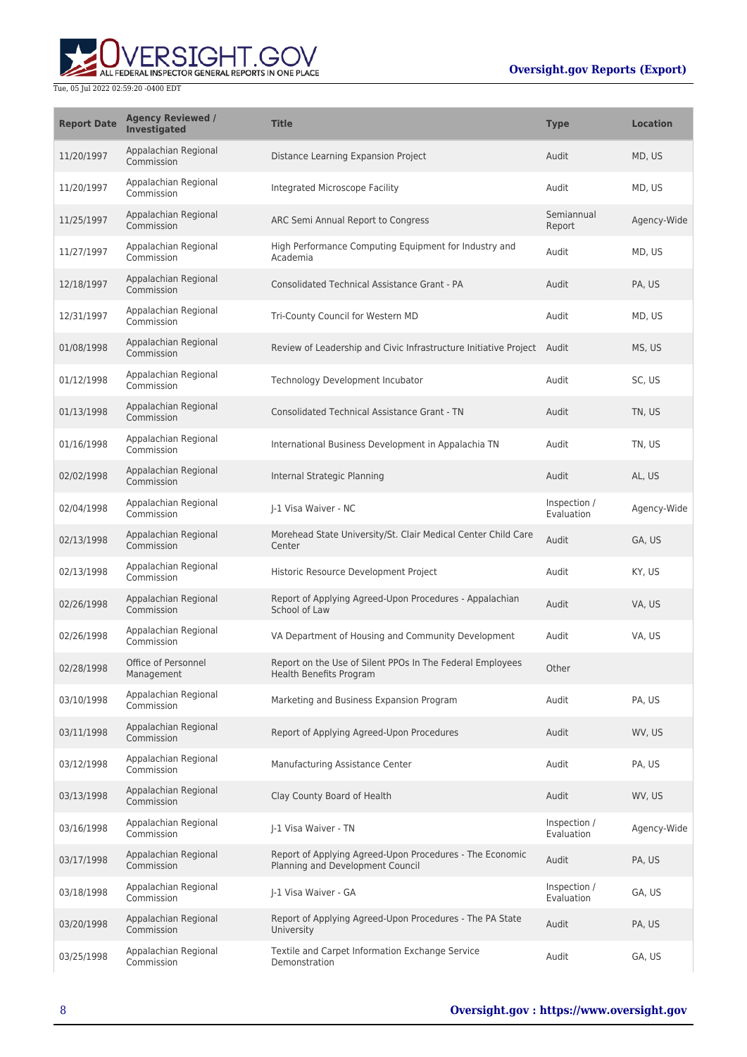

| <b>Report Date</b> | <b>Agency Reviewed /</b><br><b>Investigated</b> | <b>Title</b>                                                                                 | <b>Type</b>                | <b>Location</b> |
|--------------------|-------------------------------------------------|----------------------------------------------------------------------------------------------|----------------------------|-----------------|
| 11/20/1997         | Appalachian Regional<br>Commission              | Distance Learning Expansion Project                                                          | Audit                      | MD, US          |
| 11/20/1997         | Appalachian Regional<br>Commission              | Integrated Microscope Facility                                                               | Audit                      | MD, US          |
| 11/25/1997         | Appalachian Regional<br>Commission              | ARC Semi Annual Report to Congress                                                           | Semiannual<br>Report       | Agency-Wide     |
| 11/27/1997         | Appalachian Regional<br>Commission              | High Performance Computing Equipment for Industry and<br>Academia                            | Audit                      | MD, US          |
| 12/18/1997         | Appalachian Regional<br>Commission              | <b>Consolidated Technical Assistance Grant - PA</b>                                          | Audit                      | PA. US          |
| 12/31/1997         | Appalachian Regional<br>Commission              | Tri-County Council for Western MD                                                            | Audit                      | MD, US          |
| 01/08/1998         | Appalachian Regional<br>Commission              | Review of Leadership and Civic Infrastructure Initiative Project Audit                       |                            | MS, US          |
| 01/12/1998         | Appalachian Regional<br>Commission              | Technology Development Incubator                                                             | Audit                      | SC, US          |
| 01/13/1998         | Appalachian Regional<br>Commission              | <b>Consolidated Technical Assistance Grant - TN</b>                                          | Audit                      | TN, US          |
| 01/16/1998         | Appalachian Regional<br>Commission              | International Business Development in Appalachia TN                                          | Audit                      | TN, US          |
| 02/02/1998         | Appalachian Regional<br>Commission              | Internal Strategic Planning                                                                  | Audit                      | AL, US          |
| 02/04/1998         | Appalachian Regional<br>Commission              | J-1 Visa Waiver - NC                                                                         | Inspection /<br>Evaluation | Agency-Wide     |
| 02/13/1998         | Appalachian Regional<br>Commission              | Morehead State University/St. Clair Medical Center Child Care<br>Center                      | Audit                      | GA, US          |
| 02/13/1998         | Appalachian Regional<br>Commission              | Historic Resource Development Project                                                        | Audit                      | KY, US          |
| 02/26/1998         | Appalachian Regional<br>Commission              | Report of Applying Agreed-Upon Procedures - Appalachian<br>School of Law                     | Audit                      | VA, US          |
| 02/26/1998         | Appalachian Regional<br>Commission              | VA Department of Housing and Community Development                                           | Audit                      | VA, US          |
| 02/28/1998         | Office of Personnel<br>Management               | Report on the Use of Silent PPOs In The Federal Employees<br>Health Benefits Program         | Other                      |                 |
| 03/10/1998         | Appalachian Regional<br>Commission              | Marketing and Business Expansion Program                                                     | Audit                      | PA, US          |
| 03/11/1998         | Appalachian Regional<br>Commission              | Report of Applying Agreed-Upon Procedures                                                    | Audit                      | WV, US          |
| 03/12/1998         | Appalachian Regional<br>Commission              | Manufacturing Assistance Center                                                              | Audit                      | PA, US          |
| 03/13/1998         | Appalachian Regional<br>Commission              | Clay County Board of Health                                                                  | Audit                      | WV, US          |
| 03/16/1998         | Appalachian Regional<br>Commission              | J-1 Visa Waiver - TN                                                                         | Inspection /<br>Evaluation | Agency-Wide     |
| 03/17/1998         | Appalachian Regional<br>Commission              | Report of Applying Agreed-Upon Procedures - The Economic<br>Planning and Development Council | Audit                      | PA, US          |
| 03/18/1998         | Appalachian Regional<br>Commission              | J-1 Visa Waiver - GA                                                                         | Inspection /<br>Evaluation | GA, US          |
| 03/20/1998         | Appalachian Regional<br>Commission              | Report of Applying Agreed-Upon Procedures - The PA State<br>University                       | Audit                      | PA, US          |
| 03/25/1998         | Appalachian Regional<br>Commission              | Textile and Carpet Information Exchange Service<br>Demonstration                             | Audit                      | GA, US          |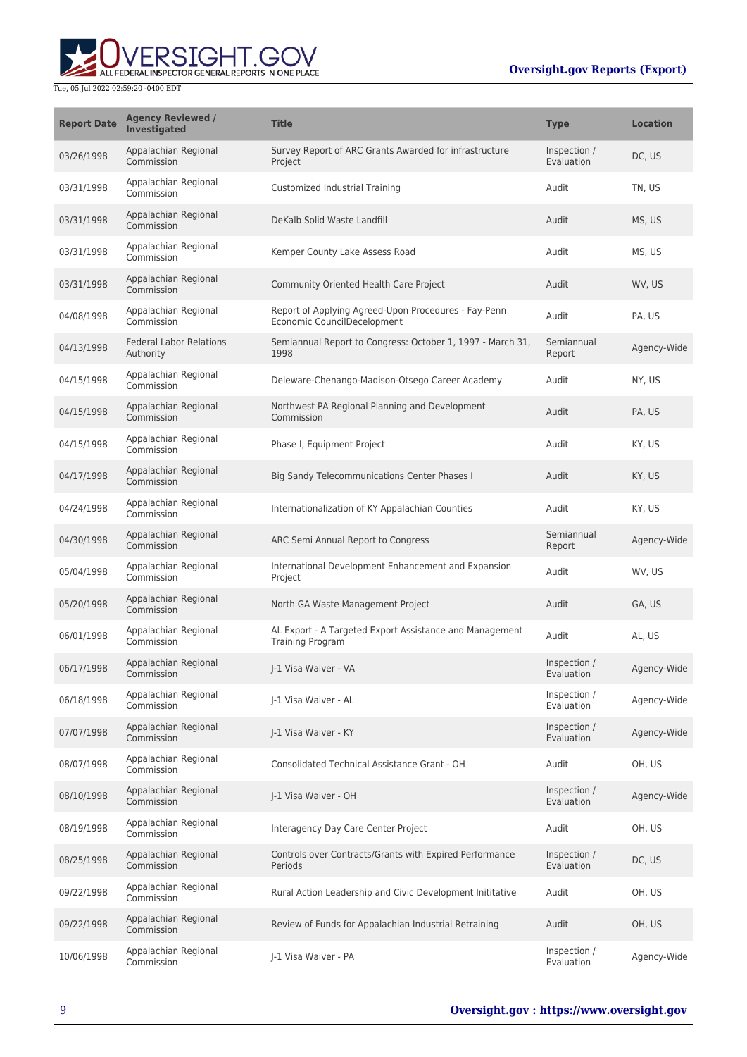

| <b>Report Date</b> | <b>Agency Reviewed /</b><br><b>Investigated</b> | <b>Title</b>                                                                        | <b>Type</b>                | <b>Location</b> |
|--------------------|-------------------------------------------------|-------------------------------------------------------------------------------------|----------------------------|-----------------|
| 03/26/1998         | Appalachian Regional<br>Commission              | Survey Report of ARC Grants Awarded for infrastructure<br>Project                   | Inspection /<br>Evaluation | DC, US          |
| 03/31/1998         | Appalachian Regional<br>Commission              | Customized Industrial Training                                                      | Audit                      | TN, US          |
| 03/31/1998         | Appalachian Regional<br>Commission              | DeKalb Solid Waste Landfill                                                         | Audit                      | MS, US          |
| 03/31/1998         | Appalachian Regional<br>Commission              | Kemper County Lake Assess Road                                                      | Audit                      | MS, US          |
| 03/31/1998         | Appalachian Regional<br>Commission              | Community Oriented Health Care Project                                              | Audit                      | WV, US          |
| 04/08/1998         | Appalachian Regional<br>Commission              | Report of Applying Agreed-Upon Procedures - Fay-Penn<br>Economic CouncilDecelopment | Audit                      | PA, US          |
| 04/13/1998         | <b>Federal Labor Relations</b><br>Authority     | Semiannual Report to Congress: October 1, 1997 - March 31,<br>1998                  | Semiannual<br>Report       | Agency-Wide     |
| 04/15/1998         | Appalachian Regional<br>Commission              | Deleware-Chenango-Madison-Otsego Career Academy                                     | Audit                      | NY, US          |
| 04/15/1998         | Appalachian Regional<br>Commission              | Northwest PA Regional Planning and Development<br>Commission                        | Audit                      | PA, US          |
| 04/15/1998         | Appalachian Regional<br>Commission              | Phase I, Equipment Project                                                          | Audit                      | KY, US          |
| 04/17/1998         | Appalachian Regional<br>Commission              | <b>Big Sandy Telecommunications Center Phases I</b>                                 | Audit                      | KY, US          |
| 04/24/1998         | Appalachian Regional<br>Commission              | Internationalization of KY Appalachian Counties                                     | Audit                      | KY, US          |
| 04/30/1998         | Appalachian Regional<br>Commission              | ARC Semi Annual Report to Congress                                                  | Semiannual<br>Report       | Agency-Wide     |
| 05/04/1998         | Appalachian Regional<br>Commission              | International Development Enhancement and Expansion<br>Project                      | Audit                      | WV, US          |
| 05/20/1998         | Appalachian Regional<br>Commission              | North GA Waste Management Project                                                   | Audit                      | GA, US          |
| 06/01/1998         | Appalachian Regional<br>Commission              | AL Export - A Targeted Export Assistance and Management<br>Training Program         | Audit                      | AL, US          |
| 06/17/1998         | Appalachian Regional<br>Commission              | I-1 Visa Waiver - VA                                                                | Inspection /<br>Evaluation | Agency-Wide     |
| 06/18/1998         | Appalachian Regional<br>Commission              | J-1 Visa Waiver - AL                                                                | Inspection /<br>Evaluation | Agency-Wide     |
| 07/07/1998         | Appalachian Regional<br>Commission              | J-1 Visa Waiver - KY                                                                | Inspection /<br>Evaluation | Agency-Wide     |
| 08/07/1998         | Appalachian Regional<br>Commission              | Consolidated Technical Assistance Grant - OH                                        | Audit                      | OH, US          |
| 08/10/1998         | Appalachian Regional<br>Commission              | J-1 Visa Waiver - OH                                                                | Inspection /<br>Evaluation | Agency-Wide     |
| 08/19/1998         | Appalachian Regional<br>Commission              | Interagency Day Care Center Project                                                 | Audit                      | OH, US          |
| 08/25/1998         | Appalachian Regional<br>Commission              | Controls over Contracts/Grants with Expired Performance<br>Periods                  | Inspection /<br>Evaluation | DC, US          |
| 09/22/1998         | Appalachian Regional<br>Commission              | Rural Action Leadership and Civic Development Inititative                           | Audit                      | OH, US          |
| 09/22/1998         | Appalachian Regional<br>Commission              | Review of Funds for Appalachian Industrial Retraining                               | Audit                      | OH, US          |
| 10/06/1998         | Appalachian Regional<br>Commission              | J-1 Visa Waiver - PA                                                                | Inspection /<br>Evaluation | Agency-Wide     |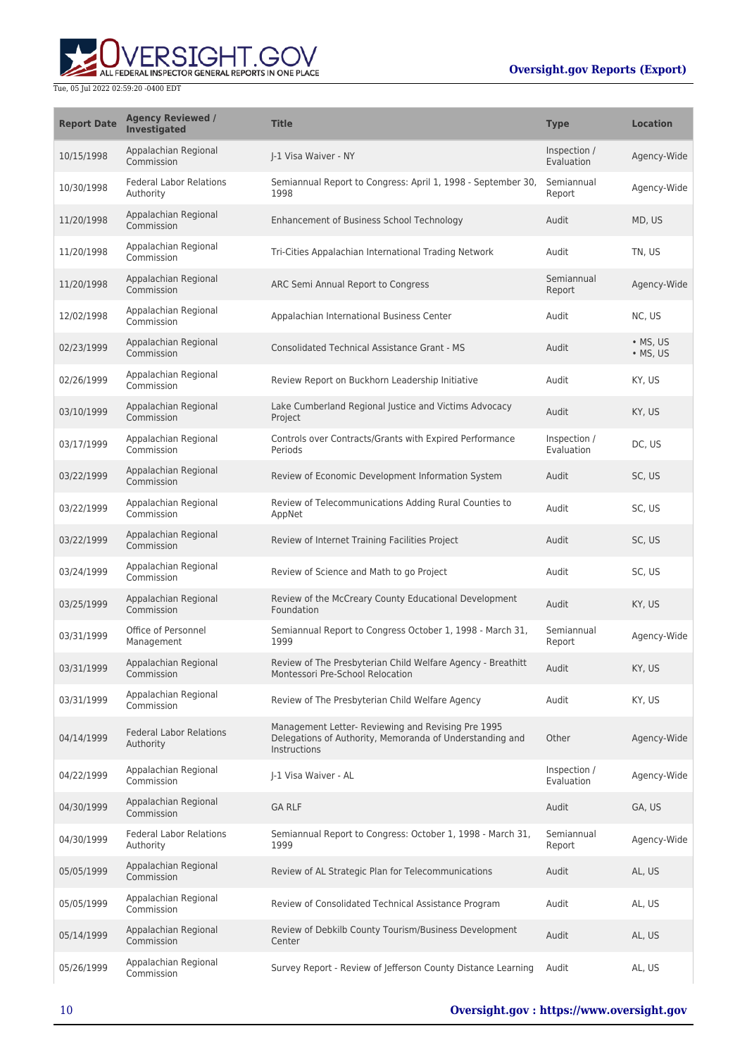# ALL FEDERAL INSPECTOR GENERAL REPORTS IN ONE PLACE

#### Tue, 05 Jul 2022 02:59:20 -0400 EDT

### **Oversight.gov Reports (Export)**

| <b>Report Date</b> | <b>Agency Reviewed /</b><br>Investigated    | <b>Title</b>                                                                                                                   | <b>Type</b>                | <b>Location</b>              |
|--------------------|---------------------------------------------|--------------------------------------------------------------------------------------------------------------------------------|----------------------------|------------------------------|
| 10/15/1998         | Appalachian Regional<br>Commission          | I-1 Visa Waiver - NY                                                                                                           | Inspection /<br>Evaluation | Agency-Wide                  |
| 10/30/1998         | <b>Federal Labor Relations</b><br>Authority | Semiannual Report to Congress: April 1, 1998 - September 30,<br>1998                                                           | Semiannual<br>Report       | Agency-Wide                  |
| 11/20/1998         | Appalachian Regional<br>Commission          | Enhancement of Business School Technology                                                                                      | Audit                      | MD, US                       |
| 11/20/1998         | Appalachian Regional<br>Commission          | Tri-Cities Appalachian International Trading Network                                                                           | Audit                      | TN, US                       |
| 11/20/1998         | Appalachian Regional<br>Commission          | ARC Semi Annual Report to Congress                                                                                             | Semiannual<br>Report       | Agency-Wide                  |
| 12/02/1998         | Appalachian Regional<br>Commission          | Appalachian International Business Center                                                                                      | Audit                      | NC, US                       |
| 02/23/1999         | Appalachian Regional<br>Commission          | <b>Consolidated Technical Assistance Grant - MS</b>                                                                            | Audit                      | $\bullet$ MS, US<br>• MS, US |
| 02/26/1999         | Appalachian Regional<br>Commission          | Review Report on Buckhorn Leadership Initiative                                                                                | Audit                      | KY, US                       |
| 03/10/1999         | Appalachian Regional<br>Commission          | Lake Cumberland Regional Justice and Victims Advocacy<br>Project                                                               | Audit                      | KY, US                       |
| 03/17/1999         | Appalachian Regional<br>Commission          | Controls over Contracts/Grants with Expired Performance<br>Periods                                                             | Inspection /<br>Evaluation | DC, US                       |
| 03/22/1999         | Appalachian Regional<br>Commission          | Review of Economic Development Information System                                                                              | Audit                      | SC, US                       |
| 03/22/1999         | Appalachian Regional<br>Commission          | Review of Telecommunications Adding Rural Counties to<br>AppNet                                                                | Audit                      | SC, US                       |
| 03/22/1999         | Appalachian Regional<br>Commission          | Review of Internet Training Facilities Project                                                                                 | Audit                      | SC, US                       |
| 03/24/1999         | Appalachian Regional<br>Commission          | Review of Science and Math to go Project                                                                                       | Audit                      | SC, US                       |
| 03/25/1999         | Appalachian Regional<br>Commission          | Review of the McCreary County Educational Development<br>Foundation                                                            | Audit                      | KY, US                       |
| 03/31/1999         | Office of Personnel<br>Management           | Semiannual Report to Congress October 1, 1998 - March 31,<br>1999                                                              | Semiannual<br>Report       | Agency-Wide                  |
| 03/31/1999         | Appalachian Regional<br>Commission          | Review of The Presbyterian Child Welfare Agency - Breathitt<br>Montessori Pre-School Relocation                                | Audit                      | KY, US                       |
| 03/31/1999         | Appalachian Regional<br>Commission          | Review of The Presbyterian Child Welfare Agency                                                                                | Audit                      | KY, US                       |
| 04/14/1999         | <b>Federal Labor Relations</b><br>Authority | Management Letter- Reviewing and Revising Pre 1995<br>Delegations of Authority, Memoranda of Understanding and<br>Instructions | Other                      | Agency-Wide                  |
| 04/22/1999         | Appalachian Regional<br>Commission          | J-1 Visa Waiver - AL                                                                                                           | Inspection /<br>Evaluation | Agency-Wide                  |
| 04/30/1999         | Appalachian Regional<br>Commission          | <b>GA RLF</b>                                                                                                                  | Audit                      | GA, US                       |
| 04/30/1999         | <b>Federal Labor Relations</b><br>Authority | Semiannual Report to Congress: October 1, 1998 - March 31,<br>1999                                                             | Semiannual<br>Report       | Agency-Wide                  |
| 05/05/1999         | Appalachian Regional<br>Commission          | Review of AL Strategic Plan for Telecommunications                                                                             | Audit                      | AL, US                       |
| 05/05/1999         | Appalachian Regional<br>Commission          | Review of Consolidated Technical Assistance Program                                                                            | Audit                      | AL, US                       |
| 05/14/1999         | Appalachian Regional<br>Commission          | Review of Debkilb County Tourism/Business Development<br>Center                                                                | Audit                      | AL, US                       |
| 05/26/1999         | Appalachian Regional<br>Commission          | Survey Report - Review of Jefferson County Distance Learning                                                                   | Audit                      | AL, US                       |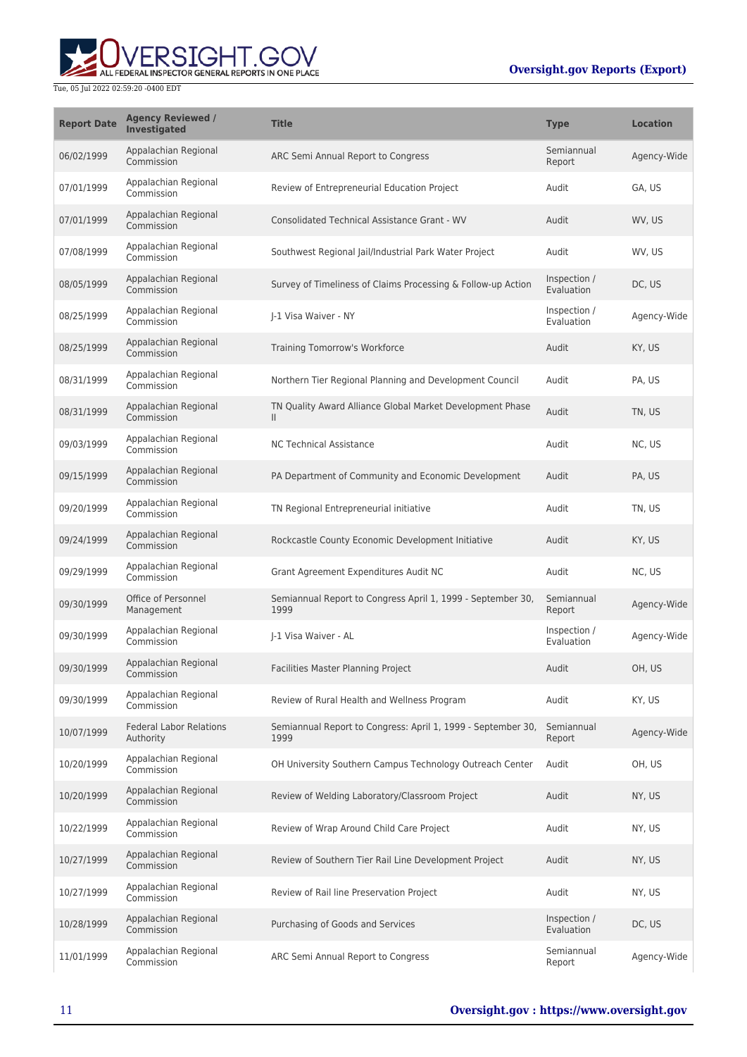

| <b>Report Date</b> | <b>Agency Reviewed /</b><br>Investigated    | <b>Title</b>                                                         | <b>Type</b>                | <b>Location</b> |
|--------------------|---------------------------------------------|----------------------------------------------------------------------|----------------------------|-----------------|
| 06/02/1999         | Appalachian Regional<br>Commission          | ARC Semi Annual Report to Congress                                   | Semiannual<br>Report       | Agency-Wide     |
| 07/01/1999         | Appalachian Regional<br>Commission          | Review of Entrepreneurial Education Project                          | Audit                      | GA, US          |
| 07/01/1999         | Appalachian Regional<br>Commission          | <b>Consolidated Technical Assistance Grant - WV</b>                  | Audit                      | WV, US          |
| 07/08/1999         | Appalachian Regional<br>Commission          | Southwest Regional Jail/Industrial Park Water Project                | Audit                      | WV. US          |
| 08/05/1999         | Appalachian Regional<br>Commission          | Survey of Timeliness of Claims Processing & Follow-up Action         | Inspection /<br>Evaluation | DC, US          |
| 08/25/1999         | Appalachian Regional<br>Commission          | J-1 Visa Waiver - NY                                                 | Inspection /<br>Evaluation | Agency-Wide     |
| 08/25/1999         | Appalachian Regional<br>Commission          | Training Tomorrow's Workforce                                        | Audit                      | KY, US          |
| 08/31/1999         | Appalachian Regional<br>Commission          | Northern Tier Regional Planning and Development Council              | Audit                      | PA, US          |
| 08/31/1999         | Appalachian Regional<br>Commission          | TN Quality Award Alliance Global Market Development Phase<br>Ш       | Audit                      | TN, US          |
| 09/03/1999         | Appalachian Regional<br>Commission          | <b>NC Technical Assistance</b>                                       | Audit                      | NC, US          |
| 09/15/1999         | Appalachian Regional<br>Commission          | PA Department of Community and Economic Development                  | Audit                      | PA, US          |
| 09/20/1999         | Appalachian Regional<br>Commission          | TN Regional Entrepreneurial initiative                               | Audit                      | TN, US          |
| 09/24/1999         | Appalachian Regional<br>Commission          | Rockcastle County Economic Development Initiative                    | Audit                      | KY, US          |
| 09/29/1999         | Appalachian Regional<br>Commission          | Grant Agreement Expenditures Audit NC                                | Audit                      | NC, US          |
| 09/30/1999         | Office of Personnel<br>Management           | Semiannual Report to Congress April 1, 1999 - September 30,<br>1999  | Semiannual<br>Report       | Agency-Wide     |
| 09/30/1999         | Appalachian Regional<br>Commission          | I-1 Visa Waiver - AL                                                 | Inspection /<br>Evaluation | Agency-Wide     |
| 09/30/1999         | Appalachian Regional<br>Commission          | Facilities Master Planning Project                                   | Audit                      | OH, US          |
| 09/30/1999         | Appalachian Regional<br>Commission          | Review of Rural Health and Wellness Program                          | Audit                      | KY, US          |
| 10/07/1999         | <b>Federal Labor Relations</b><br>Authority | Semiannual Report to Congress: April 1, 1999 - September 30,<br>1999 | Semiannual<br>Report       | Agency-Wide     |
| 10/20/1999         | Appalachian Regional<br>Commission          | OH University Southern Campus Technology Outreach Center             | Audit                      | OH, US          |
| 10/20/1999         | Appalachian Regional<br>Commission          | Review of Welding Laboratory/Classroom Project                       | Audit                      | NY, US          |
| 10/22/1999         | Appalachian Regional<br>Commission          | Review of Wrap Around Child Care Project                             | Audit                      | NY, US          |
| 10/27/1999         | Appalachian Regional<br>Commission          | Review of Southern Tier Rail Line Development Project                | Audit                      | NY, US          |
| 10/27/1999         | Appalachian Regional<br>Commission          | Review of Rail line Preservation Project                             | Audit                      | NY, US          |
| 10/28/1999         | Appalachian Regional<br>Commission          | Purchasing of Goods and Services                                     | Inspection /<br>Evaluation | DC, US          |
| 11/01/1999         | Appalachian Regional<br>Commission          | ARC Semi Annual Report to Congress                                   | Semiannual<br>Report       | Agency-Wide     |